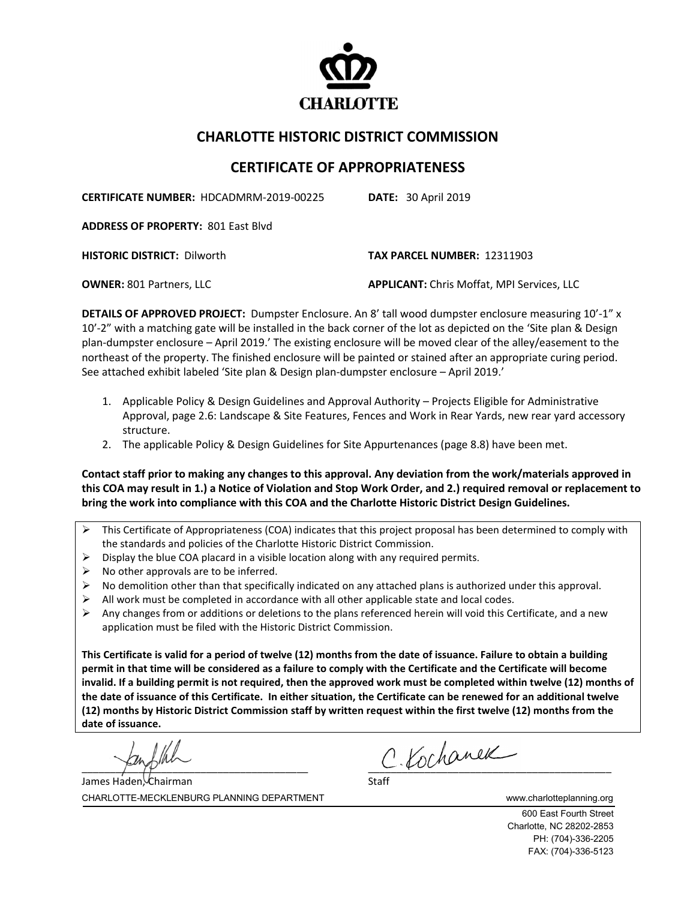

## **CHARLOTTE HISTORIC DISTRICT COMMISSION**

## **CERTIFICATE OF APPROPRIATENESS**

**CERTIFICATE NUMBER:** HDCADMRM-2019-00225 **DATE:** 30 April 2019

**ADDRESS OF PROPERTY:** 801 East Blvd

**HISTORIC DISTRICT:** Dilworth **TAX PARCEL NUMBER:** 12311903

**OWNER:** 801 Partners, LLC **APPLICANT:** Chris Moffat, MPI Services, LLC

**DETAILS OF APPROVED PROJECT:** Dumpster Enclosure. An 8' tall wood dumpster enclosure measuring 10'-1" x 10'-2" with a matching gate will be installed in the back corner of the lot as depicted on the 'Site plan & Design plan-dumpster enclosure – April 2019.' The existing enclosure will be moved clear of the alley/easement to the northeast of the property. The finished enclosure will be painted or stained after an appropriate curing period. See attached exhibit labeled 'Site plan & Design plan-dumpster enclosure – April 2019.'

- 1. Applicable Policy & Design Guidelines and Approval Authority Projects Eligible for Administrative Approval, page 2.6: Landscape & Site Features, Fences and Work in Rear Yards, new rear yard accessory structure.
- 2. The applicable Policy & Design Guidelines for Site Appurtenances (page 8.8) have been met.

**Contact staff prior to making any changes to this approval. Any deviation from the work/materials approved in this COA may result in 1.) a Notice of Violation and Stop Work Order, and 2.) required removal or replacement to bring the work into compliance with this COA and the Charlotte Historic District Design Guidelines.**

- $\triangleright$  This Certificate of Appropriateness (COA) indicates that this project proposal has been determined to comply with the standards and policies of the Charlotte Historic District Commission.
- $\triangleright$  Display the blue COA placard in a visible location along with any required permits.
- $\triangleright$  No other approvals are to be inferred.
- $\triangleright$  No demolition other than that specifically indicated on any attached plans is authorized under this approval.
- All work must be completed in accordance with all other applicable state and local codes.
- $\triangleright$  Any changes from or additions or deletions to the plans referenced herein will void this Certificate, and a new application must be filed with the Historic District Commission.

**This Certificate is valid for a period of twelve (12) months from the date of issuance. Failure to obtain a building permit in that time will be considered as a failure to comply with the Certificate and the Certificate will become invalid. If a building permit is not required, then the approved work must be completed within twelve (12) months of the date of issuance of this Certificate. In either situation, the Certificate can be renewed for an additional twelve (12) months by Historic District Commission staff by written request within the first twelve (12) months from the date of issuance.**

 $c$  Kochanek

CHARLOTTE-MECKLENBURG PLANNING DEPARTMENT www.charlotteplanning.org James Haden, Chairman

600 East Fourth Street Charlotte, NC 28202-2853 PH: (704)-336-2205 FAX: (704)-336-5123